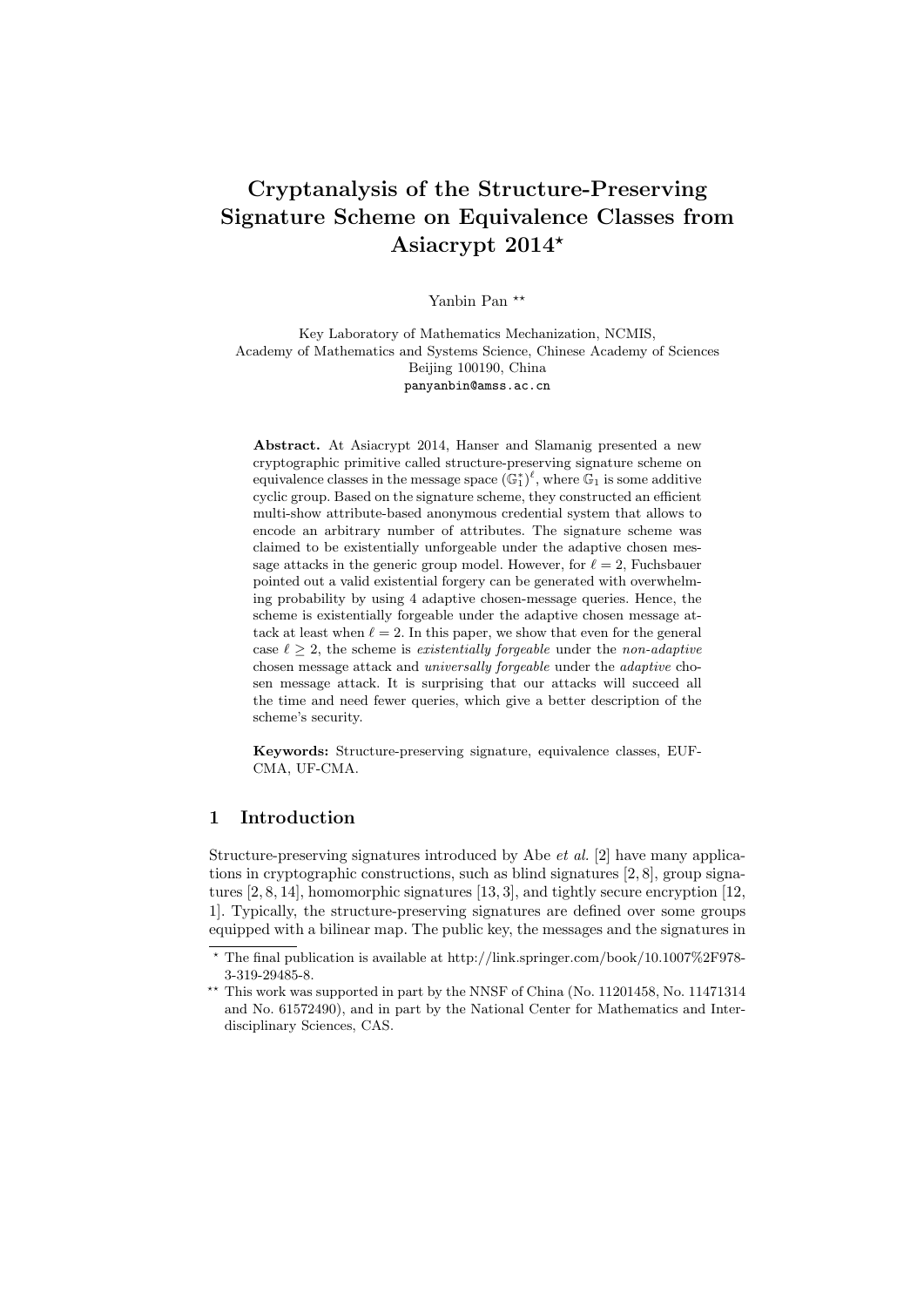# Cryptanalysis of the Structure-Preserving Signature Scheme on Equivalence Classes from Asiacrypt 2014?

Yanbin Pan<sup>\*\*</sup>

Key Laboratory of Mathematics Mechanization, NCMIS, Academy of Mathematics and Systems Science, Chinese Academy of Sciences Beijing 100190, China panyanbin@amss.ac.cn

Abstract. At Asiacrypt 2014, Hanser and Slamanig presented a new cryptographic primitive called structure-preserving signature scheme on equivalence classes in the message space  $(\mathbb{G}_{1}^{*})^{\ell}$ , where  $\mathbb{G}_{1}$  is some additive cyclic group. Based on the signature scheme, they constructed an efficient multi-show attribute-based anonymous credential system that allows to encode an arbitrary number of attributes. The signature scheme was claimed to be existentially unforgeable under the adaptive chosen message attacks in the generic group model. However, for  $\ell = 2$ , Fuchsbauer pointed out a valid existential forgery can be generated with overwhelming probability by using 4 adaptive chosen-message queries. Hence, the scheme is existentially forgeable under the adaptive chosen message attack at least when  $\ell = 2$ . In this paper, we show that even for the general case  $\ell \geq 2$ , the scheme is existentially forgeable under the non-adaptive chosen message attack and universally forgeable under the adaptive chosen message attack. It is surprising that our attacks will succeed all the time and need fewer queries, which give a better description of the scheme's security.

Keywords: Structure-preserving signature, equivalence classes, EUF-CMA, UF-CMA.

### 1 Introduction

Structure-preserving signatures introduced by Abe et al. [2] have many applications in cryptographic constructions, such as blind signatures [2, 8], group signatures [2, 8, 14], homomorphic signatures [13, 3], and tightly secure encryption [12, 1]. Typically, the structure-preserving signatures are defined over some groups equipped with a bilinear map. The public key, the messages and the signatures in

 $^{\star}$  The final publication is available at http://link.springer.com/book/10.1007%2F978-3-319-29485-8.

<sup>\*\*</sup> This work was supported in part by the NNSF of China (No. 11201458, No. 11471314 and No. 61572490), and in part by the National Center for Mathematics and Interdisciplinary Sciences, CAS.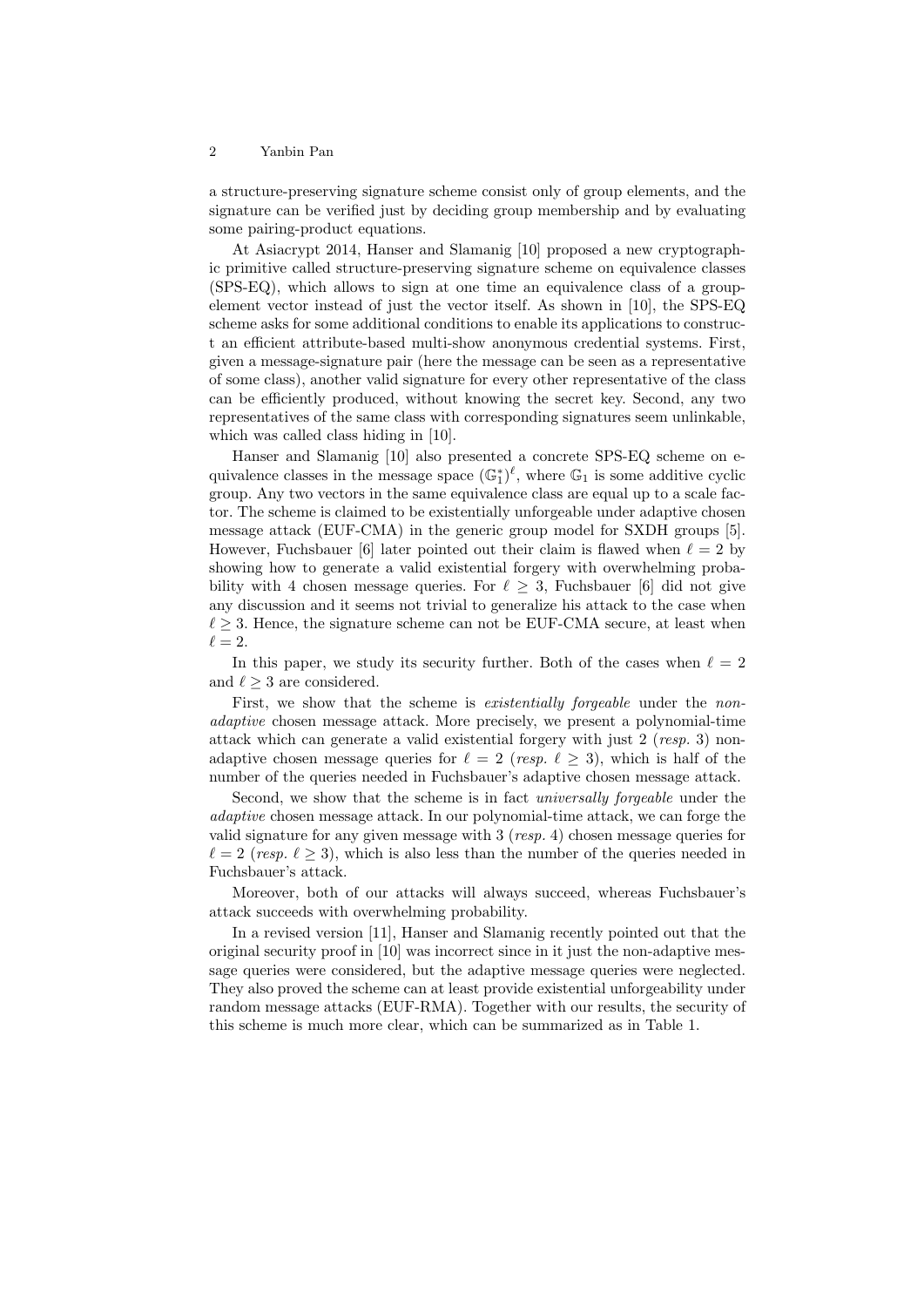a structure-preserving signature scheme consist only of group elements, and the signature can be verified just by deciding group membership and by evaluating some pairing-product equations.

At Asiacrypt 2014, Hanser and Slamanig [10] proposed a new cryptographic primitive called structure-preserving signature scheme on equivalence classes (SPS-EQ), which allows to sign at one time an equivalence class of a groupelement vector instead of just the vector itself. As shown in [10], the SPS-EQ scheme asks for some additional conditions to enable its applications to construct an efficient attribute-based multi-show anonymous credential systems. First, given a message-signature pair (here the message can be seen as a representative of some class), another valid signature for every other representative of the class can be efficiently produced, without knowing the secret key. Second, any two representatives of the same class with corresponding signatures seem unlinkable, which was called class hiding in [10].

Hanser and Slamanig [10] also presented a concrete SPS-EQ scheme on equivalence classes in the message space  $(\mathbb{G}_1^*)^{\ell}$ , where  $\mathbb{G}_1$  is some additive cyclic group. Any two vectors in the same equivalence class are equal up to a scale factor. The scheme is claimed to be existentially unforgeable under adaptive chosen message attack (EUF-CMA) in the generic group model for SXDH groups [5]. However, Fuchsbauer [6] later pointed out their claim is flawed when  $\ell = 2$  by showing how to generate a valid existential forgery with overwhelming probability with 4 chosen message queries. For  $\ell \geq 3$ , Fuchsbauer [6] did not give any discussion and it seems not trivial to generalize his attack to the case when  $\ell > 3$ . Hence, the signature scheme can not be EUF-CMA secure, at least when  $\ell = 2.$ 

In this paper, we study its security further. Both of the cases when  $\ell = 2$ and  $\ell \geq 3$  are considered.

First, we show that the scheme is *existentially forgeable* under the *non*adaptive chosen message attack. More precisely, we present a polynomial-time attack which can generate a valid existential forgery with just  $2$  (resp. 3) nonadaptive chosen message queries for  $\ell = 2$  (resp.  $\ell \geq 3$ ), which is half of the number of the queries needed in Fuchsbauer's adaptive chosen message attack.

Second, we show that the scheme is in fact universally forgeable under the adaptive chosen message attack. In our polynomial-time attack, we can forge the valid signature for any given message with 3 (resp. 4) chosen message queries for  $\ell = 2$  (resp.  $\ell > 3$ ), which is also less than the number of the queries needed in Fuchsbauer's attack.

Moreover, both of our attacks will always succeed, whereas Fuchsbauer's attack succeeds with overwhelming probability.

In a revised version [11], Hanser and Slamanig recently pointed out that the original security proof in [10] was incorrect since in it just the non-adaptive message queries were considered, but the adaptive message queries were neglected. They also proved the scheme can at least provide existential unforgeability under random message attacks (EUF-RMA). Together with our results, the security of this scheme is much more clear, which can be summarized as in Table 1.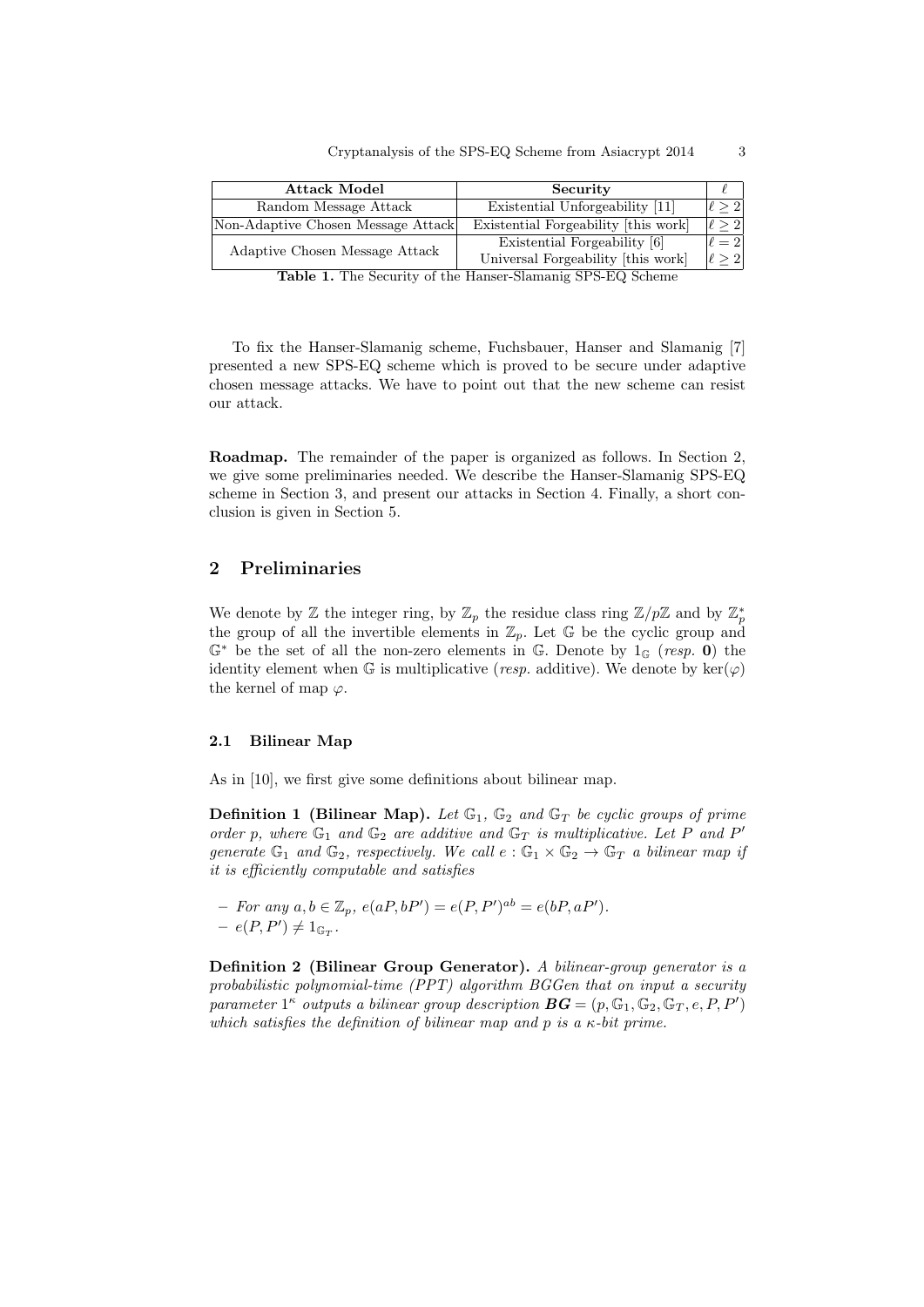| <b>Attack Model</b>                                   | Security                                                       |            |
|-------------------------------------------------------|----------------------------------------------------------------|------------|
| Random Message Attack                                 | Existential Unforgeability [11]                                | > 2        |
| Non-Adaptive Chosen Message Attack                    | Existential Forgeability [this work]                           | l > 2      |
| Adaptive Chosen Message Attack<br>$\overline{ }$<br>~ | Existential Forgeability [6]                                   | $\ell=2$   |
|                                                       | Universal Forgeability [this work]<br>$\sim$<br>$CDQ$ $DQ$ $I$ | $\ell > 2$ |

Table 1. The Security of the Hanser-Slamanig SPS-EQ Scheme

To fix the Hanser-Slamanig scheme, Fuchsbauer, Hanser and Slamanig [7] presented a new SPS-EQ scheme which is proved to be secure under adaptive chosen message attacks. We have to point out that the new scheme can resist our attack.

Roadmap. The remainder of the paper is organized as follows. In Section 2, we give some preliminaries needed. We describe the Hanser-Slamanig SPS-EQ scheme in Section 3, and present our attacks in Section 4. Finally, a short conclusion is given in Section 5.

# 2 Preliminaries

We denote by  $\mathbb Z$  the integer ring, by  $\mathbb Z_p$  the residue class ring  $\mathbb Z/p\mathbb Z$  and by  $\mathbb Z_p^*$ the group of all the invertible elements in  $\mathbb{Z}_p$ . Let G be the cyclic group and  $\mathbb{G}^*$  be the set of all the non-zero elements in  $\mathbb{G}$ . Denote by  $1_{\mathbb{G}}$  (resp. 0) the identity element when G is multiplicative (resp. additive). We denote by  $\ker(\varphi)$ the kernel of map  $\varphi$ .

### 2.1 Bilinear Map

As in [10], we first give some definitions about bilinear map.

**Definition 1 (Bilinear Map).** Let  $\mathbb{G}_1$ ,  $\mathbb{G}_2$  and  $\mathbb{G}_T$  be cyclic groups of prime order p, where  $\mathbb{G}_1$  and  $\mathbb{G}_2$  are additive and  $\mathbb{G}_T$  is multiplicative. Let P and P' generate  $\mathbb{G}_1$  and  $\mathbb{G}_2$ , respectively. We call  $e : \mathbb{G}_1 \times \mathbb{G}_2 \to \mathbb{G}_T$  a bilinear map if it is efficiently computable and satisfies

*−* For any  $a, b \in \mathbb{Z}_p$ ,  $e(aP, bP') = e(P, P')^{ab} = e(bP, aP')$ .  $- e(P, P') \neq 1_{\mathbb{G}_T}.$ 

Definition 2 (Bilinear Group Generator). A bilinear-group generator is a probabilistic polynomial-time (PPT) algorithm BGGen that on input a security parameter  $1^{\kappa}$  outputs a bilinear group description  $\boldsymbol{B}\boldsymbol{G}=(p,\mathbb{G}_{1},\mathbb{G}_{2},\mathbb{G}_{T},e,P,P')$ which satisfies the definition of bilinear map and p is a  $\kappa$ -bit prime.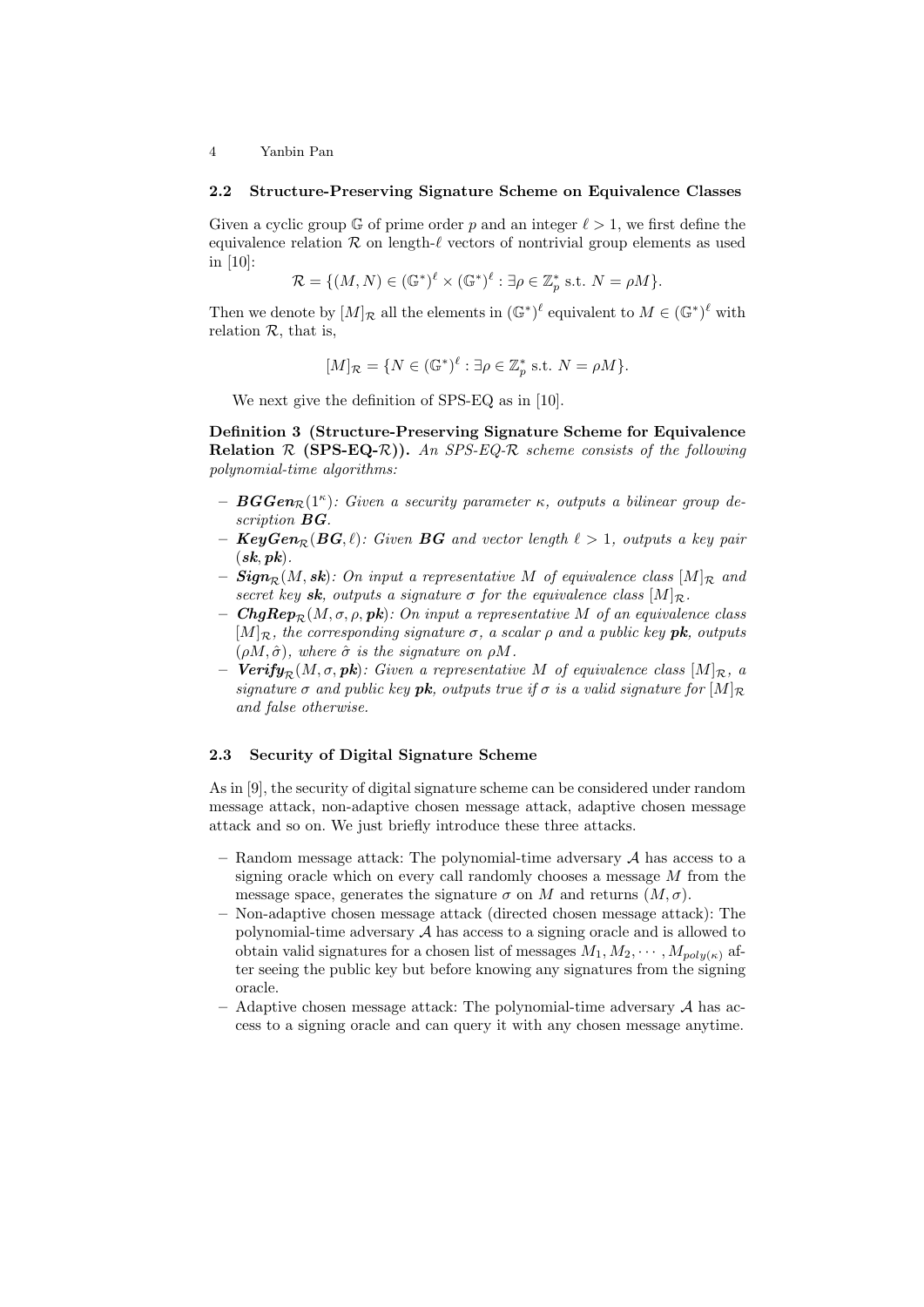#### 2.2 Structure-Preserving Signature Scheme on Equivalence Classes

Given a cyclic group G of prime order p and an integer  $\ell > 1$ , we first define the equivalence relation  $\mathcal R$  on length- $\ell$  vectors of nontrivial group elements as used in [10]:

$$
\mathcal{R} = \{ (M, N) \in (\mathbb{G}^*)^{\ell} \times (\mathbb{G}^*)^{\ell} : \exists \rho \in \mathbb{Z}_p^* \text{ s.t. } N = \rho M \}.
$$

Then we denote by  $[M]_{\mathcal{R}}$  all the elements in  $(\mathbb{G}^*)^{\ell}$  equivalent to  $M \in (\mathbb{G}^*)^{\ell}$  with relation  $R$ , that is,

$$
[M]_{\mathcal{R}} = \{ N \in (\mathbb{G}^*)^{\ell} : \exists \rho \in \mathbb{Z}_p^* \text{ s.t. } N = \rho M \}.
$$

We next give the definition of SPS-EQ as in [10].

Definition 3 (Structure-Preserving Signature Scheme for Equivalence **Relation**  $R$  (SPS-EQ-R)). An SPS-EQ-R scheme consists of the following polynomial-time algorithms:

- $-$  **BGGen** $\mathcal{R}(1^{\kappa})$ : Given a security parameter  $\kappa$ , outputs a bilinear group description **BG**.
- $KeyGen_{\mathcal{P}}(BG, \ell)$ : Given BG and vector length  $\ell > 1$ , outputs a key pair  $(sk, pk)$ .
- $-$  Sign<sub>R</sub>(M, sk): On input a representative M of equivalence class  $[M]_{\mathcal{R}}$  and secret key sk, outputs a signature  $\sigma$  for the equivalence class  $[M]_{\mathcal{R}}$ .
- $ChgRep_{\mathcal{R}}(M, \sigma, \rho, pk)$ : On input a representative M of an equivalence class  $[M]_{\mathcal{R}}$ , the corresponding signature  $\sigma$ , a scalar  $\rho$  and a public key **pk**, outputs  $(\rho M, \hat{\sigma})$ , where  $\hat{\sigma}$  is the signature on  $\rho M$ .
- Verify<sub>R</sub> $(M, \sigma, pk)$ : Given a representative M of equivalence class  $[M]_{R, q}$ signature  $\sigma$  and public key **pk**, outputs true if  $\sigma$  is a valid signature for  $[M]_{\mathcal{R}}$ and false otherwise.

# 2.3 Security of Digital Signature Scheme

As in [9], the security of digital signature scheme can be considered under random message attack, non-adaptive chosen message attack, adaptive chosen message attack and so on. We just briefly introduce these three attacks.

- Random message attack: The polynomial-time adversary  $A$  has access to a signing oracle which on every call randomly chooses a message  $M$  from the message space, generates the signature  $\sigma$  on M and returns  $(M, \sigma)$ .
- Non-adaptive chosen message attack (directed chosen message attack): The polynomial-time adversary  ${\mathcal A}$  has access to a signing oracle and is allowed to obtain valid signatures for a chosen list of messages  $M_1, M_2, \cdots, M_{poly(\kappa)}$  after seeing the public key but before knowing any signatures from the signing oracle.
- $-$  Adaptive chosen message attack: The polynomial-time adversary  $A$  has access to a signing oracle and can query it with any chosen message anytime.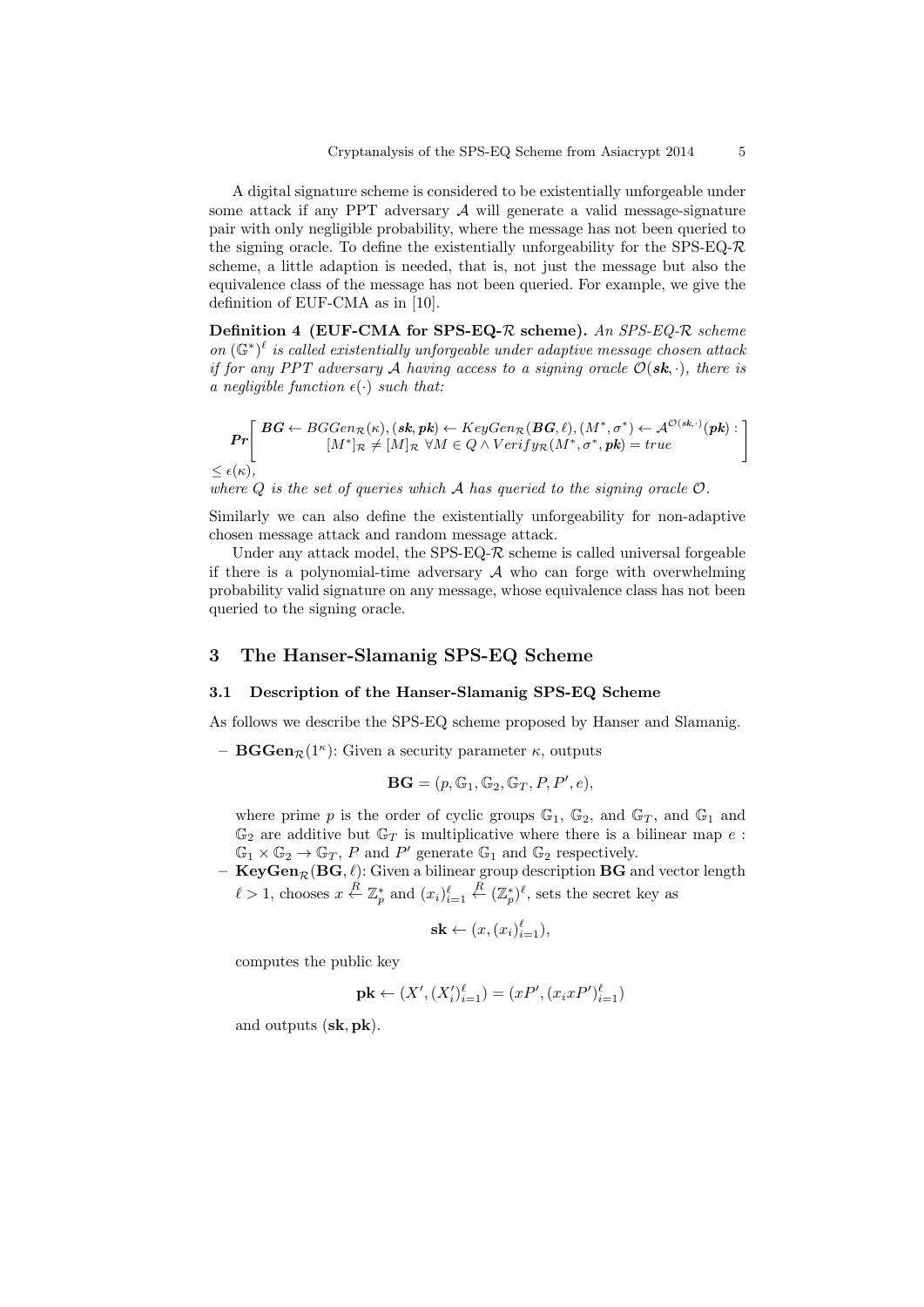A digital signature scheme is considered to be existentially unforgeable under some attack if any PPT adversary  $A$  will generate a valid message-signature pair with only negligible probability, where the message has not been queried to the signing oracle. To define the existentially unforgeability for the SPS-EQ- $\mathcal{R}$ scheme, a little adaption is needed, that is, not just the message but also the equivalence class of the message has not been queried. For example, we give the definition of EUF-CMA as in [10].

Definition 4 (EUF-CMA for SPS-EQ- $R$  scheme). An SPS-EQ- $R$  scheme on  $(\mathbb{G}^*)^{\ell}$  is called existentially unforgeable under adaptive message chosen attack if for any PPT adversary A having access to a signing oracle  $\mathcal{O}(\mathbf{sk},\cdot)$ , there is a negligible function  $\epsilon(\cdot)$  such that:

$$
\mathbf{Pr}\left[\begin{array}{c}\n\mathbf{B}\mathbf{G} \leftarrow BGGen_{\mathcal{R}}(\kappa), (\mathbf{sk}, \mathbf{pk}) \leftarrow KeyGen_{\mathcal{R}}(\mathbf{B}\mathbf{G}, \ell), (M^*, \sigma^*) \leftarrow \mathcal{A}^{\mathcal{O}(\mathbf{sk}, \cdot)}(\mathbf{pk}) : \\
[M^*]_{\mathcal{R}} \neq [M]_{\mathcal{R}} \ \forall M \in \mathcal{Q} \land Verify_{\mathcal{R}}(M^*, \sigma^*, \mathbf{pk}) = true\n\end{array}\right]\n\leq \epsilon(\kappa),
$$

where  $Q$  is the set of queries which  $A$  has queried to the signing oracle  $O$ .

Similarly we can also define the existentially unforgeability for non-adaptive chosen message attack and random message attack.

Under any attack model, the SPS-EQ- $\mathcal R$  scheme is called universal forgeable if there is a polynomial-time adversary  $A$  who can forge with overwhelming probability valid signature on any message, whose equivalence class has not been queried to the signing oracle.

## 3 The Hanser-Slamanig SPS-EQ Scheme

#### 3.1 Description of the Hanser-Slamanig SPS-EQ Scheme

As follows we describe the SPS-EQ scheme proposed by Hanser and Slamanig.

- **BGGen** $\mathcal{R}(1^{\kappa})$ : Given a security parameter  $\kappa$ , outputs

$$
\mathbf{BG} = (p, \mathbb{G}_1, \mathbb{G}_2, \mathbb{G}_T, P, P', e),
$$

where prime p is the order of cyclic groups  $\mathbb{G}_1$ ,  $\mathbb{G}_2$ , and  $\mathbb{G}_T$ , and  $\mathbb{G}_1$  and  $\mathbb{G}_2$  are additive but  $\mathbb{G}_T$  is multiplicative where there is a bilinear map e:  $\mathbb{G}_1 \times \mathbb{G}_2 \to \mathbb{G}_T$ , P and P' generate  $\mathbb{G}_1$  and  $\mathbb{G}_2$  respectively.

 $-$  Key $\mathrm{Gen}_\mathcal{R}(\mathrm{BG}, \ell)$ : Given a bilinear group description  $\mathrm{BG}$  and vector length  $\ell > 1$ , chooses  $x \stackrel{R}{\leftarrow} \mathbb{Z}_p^*$  and  $(x_i)_{i=1}^{\ell}$  $\stackrel{R}{\leftarrow} (\mathbb{Z}_p^*)^{\ell}$ , sets the secret key as

$$
\mathbf{sk} \leftarrow (x, (x_i)_{i=1}^{\ell}),
$$

computes the public key

$$
\mathbf{pk} \leftarrow (X', (X_i')_{i=1}^{\ell}) = (xP', (x_ixP')_{i=1}^{\ell})
$$

and outputs (sk, pk).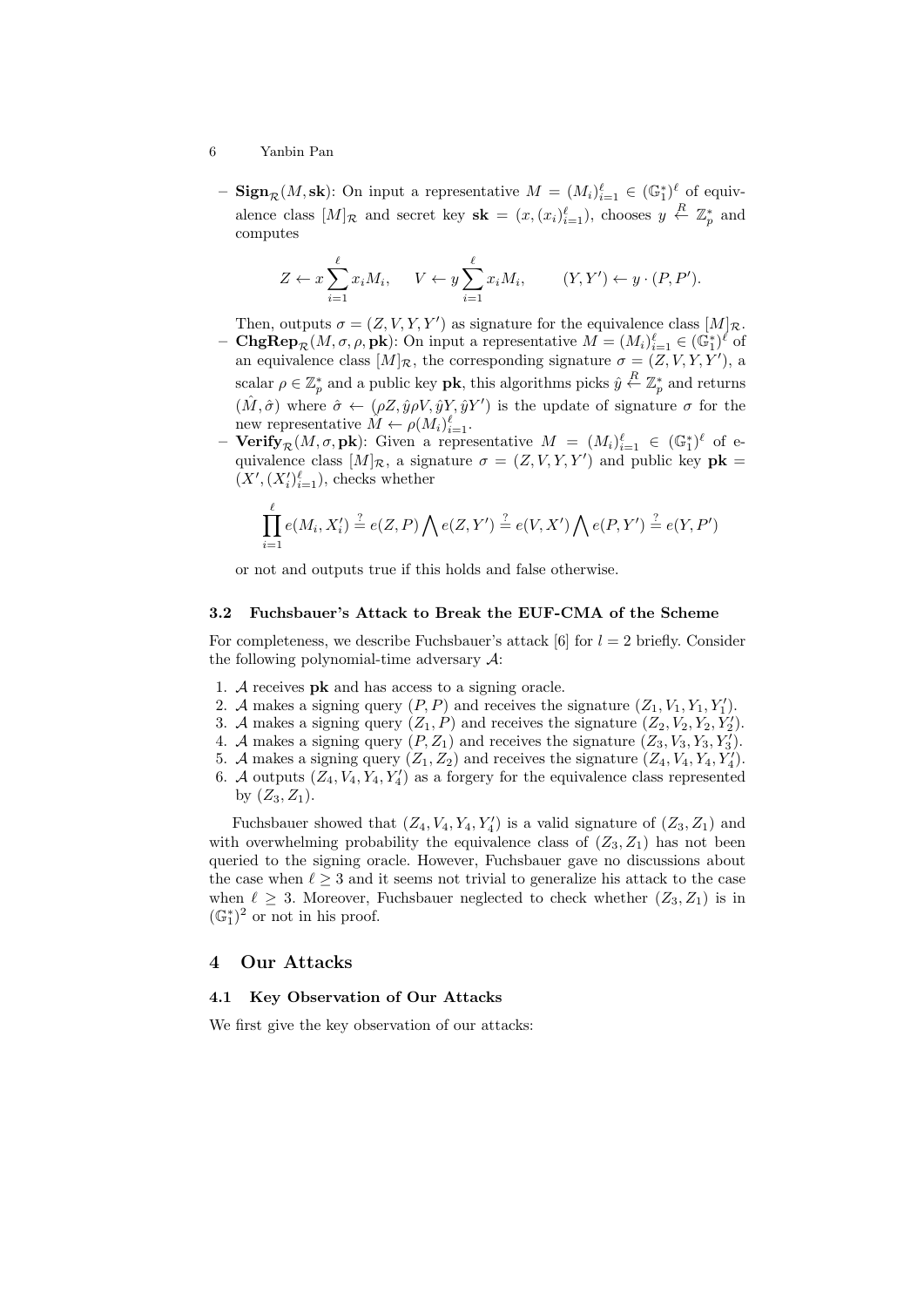- 6 Yanbin Pan
	- $\text{Sign}_{\mathcal{R}}(M, \text{sk})$ : On input a representative  $M = (M_i)_{i=1}^{\ell} \in (\mathbb{G}_1^*)^{\ell}$  of equivalence class  $[M]_{\mathcal{R}}$  and secret key  $\mathbf{sk} = (x, (x_i)_{i=1}^{\ell}),$  chooses  $y \stackrel{R}{\leftarrow} \mathbb{Z}_p^*$  and computes

$$
Z \leftarrow x \sum_{i=1}^{\ell} x_i M_i, \quad V \leftarrow y \sum_{i=1}^{\ell} x_i M_i, \quad (Y, Y') \leftarrow y \cdot (P, P').
$$

Then, outputs  $\sigma = (Z, V, Y, Y')$  as signature for the equivalence class  $[M]_{\mathcal{R}}$ .

- **ChgRep**<sub> $\mathcal{R}(M, \sigma, \rho, \mathbf{pk})$ : On input a representative  $M = (M_i)_{i=1}^{\ell} \in (\mathbb{G}_1^*)^{\ell}$  of</sub> an equivalence class  $[M]_{\mathcal{R}}$ , the corresponding signature  $\sigma = (Z, V, Y, Y')$ , a scalar  $\rho \in \mathbb{Z}_p^*$  and a public key **pk**, this algorithms picks  $\hat{y} \stackrel{R}{\leftarrow} \mathbb{Z}_p^*$  and returns  $(\hat{M}, \hat{\sigma})$  where  $\hat{\sigma} \leftarrow (\rho Z, \hat{y}\rho V, \hat{y}Y, \hat{y}Y')$  is the update of signature  $\sigma$  for the new representative  $\tilde{M} \leftarrow \rho(M_i)_{i=1}^{\ell}$ .
- Verify  $_R(M, \sigma, \mathbf{pk})$ : Given a representative  $M = (M_i)_{i=1}^{\ell} \in (\mathbb{G}_1^*)^{\ell}$  of equivalence class  $[M]_{\mathcal{R}}$ , a signature  $\sigma = (Z, V, Y, Y')$  and public key  $\mathbf{pk} =$  $(X', (X_i')_{i=1}^{\ell}),$  checks whether

$$
\prod_{i=1}^{\ell} e(M_i, X_i') \stackrel{?}{=} e(Z, P) \bigwedge e(Z, Y') \stackrel{?}{=} e(V, X') \bigwedge e(P, Y') \stackrel{?}{=} e(Y, P')
$$

or not and outputs true if this holds and false otherwise.

#### 3.2 Fuchsbauer's Attack to Break the EUF-CMA of the Scheme

For completeness, we describe Fuchsbauer's attack [6] for  $l = 2$  briefly. Consider the following polynomial-time adversary  $\mathcal{A}$ :

- 1. A receives pk and has access to a signing oracle.
- 2. A makes a signing query  $(P, P)$  and receives the signature  $(Z_1, V_1, Y_1, Y_1')$ .
- 3. A makes a signing query  $(Z_1, P)$  and receives the signature  $(Z_2, V_2, Y_2, Y'_2)$ .
- 4. A makes a signing query  $(P, Z_1)$  and receives the signature  $(Z_3, V_3, Y_3, Y_3)$ .
- 5. A makes a signing query  $(Z_1, Z_2)$  and receives the signature  $(Z_4, V_4, Y_4, Y_4')$ .
- 6. A outputs  $(Z_4, V_4, Y_4, Y_4)$  as a forgery for the equivalence class represented by  $(Z_3, Z_1)$ .

Fuchsbauer showed that  $(Z_4, V_4, Y_4, Y'_4)$  is a valid signature of  $(Z_3, Z_1)$  and with overwhelming probability the equivalence class of  $(Z_3, Z_1)$  has not been queried to the signing oracle. However, Fuchsbauer gave no discussions about the case when  $\ell > 3$  and it seems not trivial to generalize his attack to the case when  $\ell \geq 3$ . Moreover, Fuchsbauer neglected to check whether  $(Z_3, Z_1)$  is in  $(\mathbb{G}_1^*)^2$  or not in his proof.

## 4 Our Attacks

## 4.1 Key Observation of Our Attacks

We first give the key observation of our attacks: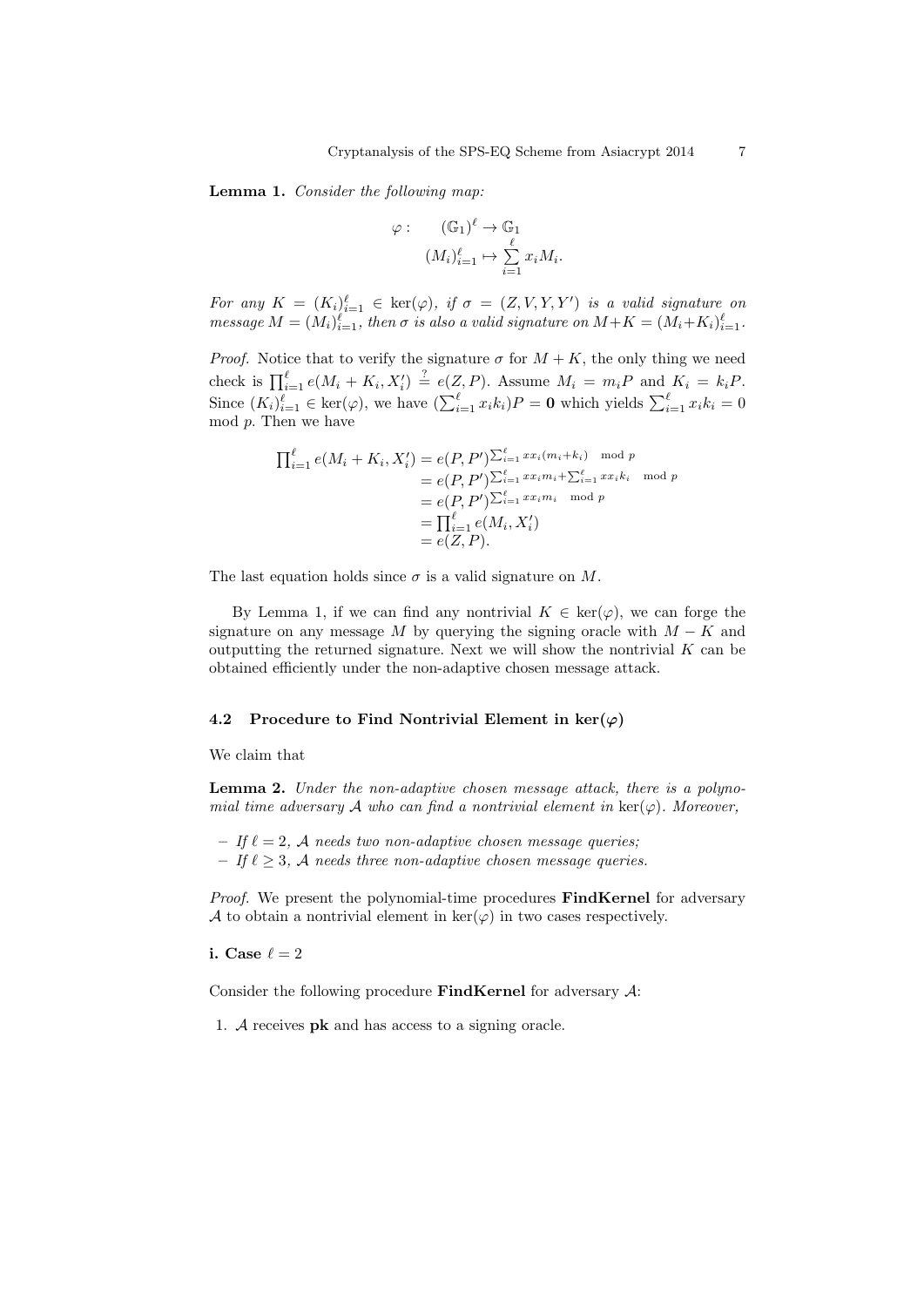Lemma 1. Consider the following map:

$$
\varphi: \qquad (\mathbb{G}_1)^{\ell} \to \mathbb{G}_1
$$

$$
(M_i)_{i=1}^{\ell} \mapsto \sum_{i=1}^{\ell} x_i M_i.
$$

For any  $K = (K_i)_{i=1}^{\ell} \in \text{ker}(\varphi)$ , if  $\sigma = (Z, V, Y, Y')$  is a valid signature on message  $M = (M_i)_{i=1}^{\ell}$ , then  $\sigma$  is also a valid signature on  $M + K = (M_i + K_i)_{i=1}^{\ell}$ .

*Proof.* Notice that to verify the signature  $\sigma$  for  $M + K$ , the only thing we need check is  $\prod_{i=1}^{\ell} e(M_i + K_i, X'_i) \stackrel{?}{=} e(Z, P)$ . Assume  $M_i = m_i P$  and  $K_i = k_i P$ . Since  $(K_i)_{i=1}^{\ell} \in \text{ker}(\varphi)$ , we have  $(\sum_{i=1}^{\ell} x_i k_i)P = \mathbf{0}$  which yields  $\sum_{i=1}^{\ell} x_i k_i = 0$  $mod\ p$ . Then we have

$$
\prod_{i=1}^{\ell} e(M_i + K_i, X'_i) = e(P, P') \sum_{i=1}^{\ell} x x_i (m_i + k_i) \mod p
$$
  
=  $e(P, P') \sum_{i=1}^{\ell} x x_i m_i + \sum_{i=1}^{\ell} x x_i k_i \mod p$   
=  $e(P, P') \sum_{i=1}^{\ell} x x_i m_i \mod p$   
=  $\prod_{i=1}^{\ell} e(M_i, X'_i)$   
=  $e(Z, P).$ 

The last equation holds since  $\sigma$  is a valid signature on M.

By Lemma 1, if we can find any nontrivial  $K \in \text{ker}(\varphi)$ , we can forge the signature on any message M by querying the signing oracle with  $M - K$  and outputting the returned signature. Next we will show the nontrivial  $K$  can be obtained efficiently under the non-adaptive chosen message attack.

#### 4.2 Procedure to Find Nontrivial Element in  $\ker(\varphi)$

We claim that

Lemma 2. Under the non-adaptive chosen message attack, there is a polynomial time adversary A who can find a nontrivial element in  $\ker(\varphi)$ . Moreover,

– If  $\ell = 2$ , A needs two non-adaptive chosen message queries;

– If  $\ell \geq 3$ , A needs three non-adaptive chosen message queries.

Proof. We present the polynomial-time procedures FindKernel for adversary A to obtain a nontrivial element in  $\ker(\varphi)$  in two cases respectively.

i. Case  $\ell = 2$ 

Consider the following procedure FindKernel for adversary  $A$ :

1. A receives pk and has access to a signing oracle.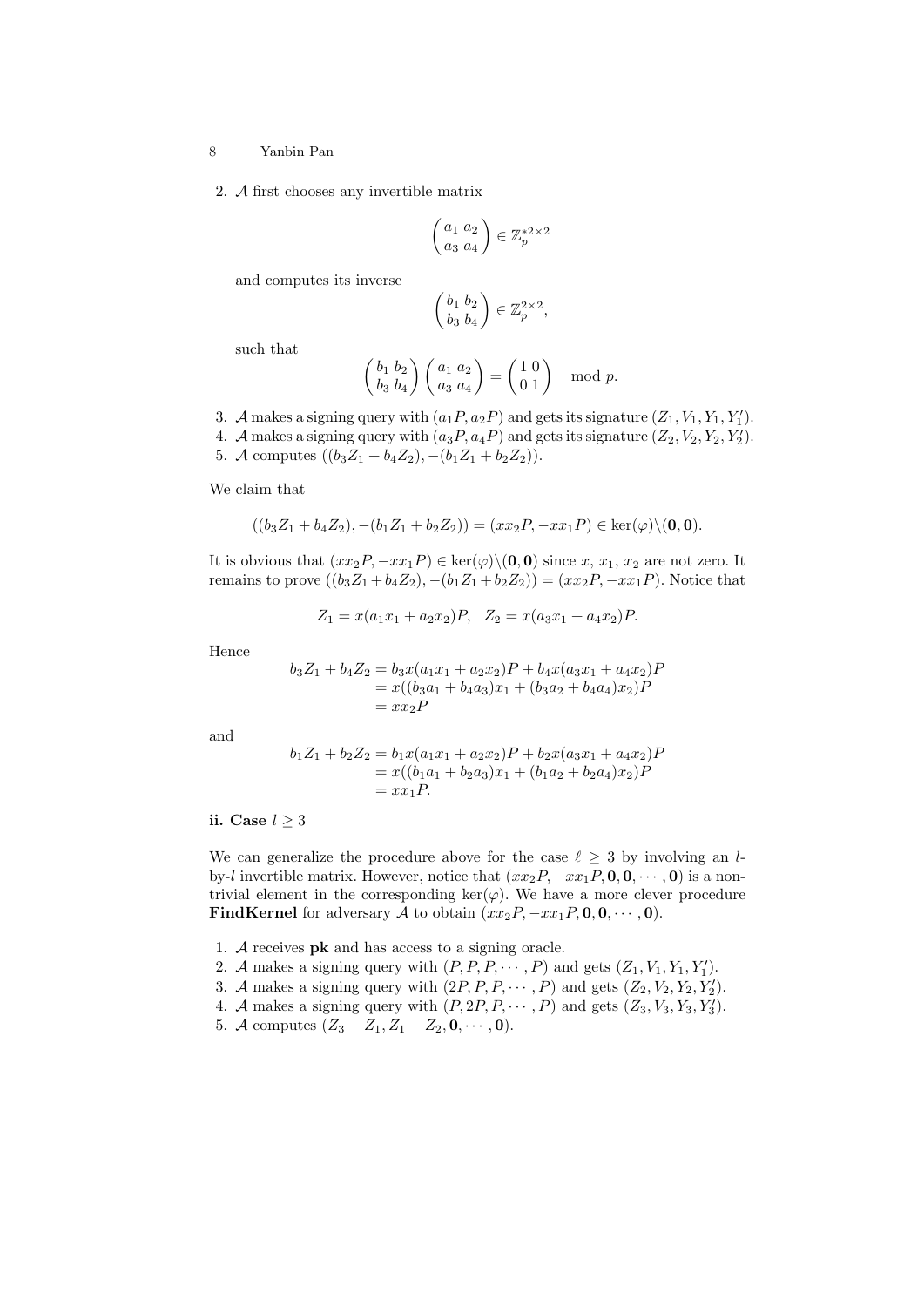2. A first chooses any invertible matrix

$$
\begin{pmatrix} a_1 & a_2 \\ a_3 & a_4 \end{pmatrix} \in \mathbb{Z}_p^{*2 \times 2}
$$

and computes its inverse

$$
\begin{pmatrix} b_1 & b_2 \\ b_3 & b_4 \end{pmatrix} \in \mathbb{Z}_p^{2 \times 2},
$$

such that

$$
\begin{pmatrix} b_1 & b_2 \\ b_3 & b_4 \end{pmatrix} \begin{pmatrix} a_1 & a_2 \\ a_3 & a_4 \end{pmatrix} = \begin{pmatrix} 1 & 0 \\ 0 & 1 \end{pmatrix} \mod p.
$$

- 3. A makes a signing query with  $(a_1P, a_2P)$  and gets its signature  $(Z_1, V_1, Y_1, Y'_1)$ .
- 4. A makes a signing query with  $(a_3P, a_4P)$  and gets its signature  $(Z_2, V_2, Y_2, Y'_2)$ .
- 5. A computes  $((b_3Z_1 + b_4Z_2), -(b_1Z_1 + b_2Z_2)).$

We claim that

$$
((b_3Z_1 + b_4Z_2), -(b_1Z_1 + b_2Z_2)) = (xx_2P, -xx_1P) \in \ker(\varphi) \setminus (0, 0).
$$

It is obvious that  $(xx_2P, -xx_1P) \in \text{ker}(\varphi) \setminus (0, 0)$  since  $x, x_1, x_2$  are not zero. It remains to prove  $((b_3Z_1 + b_4Z_2), -(b_1Z_1 + b_2Z_2)) = (xx_2P, -xx_1P)$ . Notice that

$$
Z_1 = x(a_1x_1 + a_2x_2)P, \quad Z_2 = x(a_3x_1 + a_4x_2)P.
$$

Hence

$$
b_3Z_1 + b_4Z_2 = b_3x(a_1x_1 + a_2x_2)P + b_4x(a_3x_1 + a_4x_2)P
$$
  
=  $x((b_3a_1 + b_4a_3)x_1 + (b_3a_2 + b_4a_4)x_2)P$   
=  $xx_2P$ 

and

$$
b_1Z_1 + b_2Z_2 = b_1x(a_1x_1 + a_2x_2)P + b_2x(a_3x_1 + a_4x_2)P
$$
  
=  $x((b_1a_1 + b_2a_3)x_1 + (b_1a_2 + b_2a_4)x_2)P$   
=  $xx_1P$ .

ii. Case  $l \geq 3$ 

We can generalize the procedure above for the case  $\ell \geq 3$  by involving an lby-l invertible matrix. However, notice that  $(xx_2P, -xx_1P, 0, 0, \cdots, 0)$  is a nontrivial element in the corresponding  $\ker(\varphi)$ . We have a more clever procedure FindKernel for adversary A to obtain  $(xx_2P, -xx_1P, 0, 0, \cdots, 0)$ .

- 1. A receives pk and has access to a signing oracle.
- 2. A makes a signing query with  $(P, P, P, \dots, P)$  and gets  $(Z_1, V_1, Y_1, Y_1')$ .
- 3. A makes a signing query with  $(2P, P, P, \dots, P)$  and gets  $(Z_2, V_2, Y_2, Y'_2)$ .
- 4. A makes a signing query with  $(P, 2P, P, \dots, P)$  and gets  $(Z_3, V_3, Y_3, Y'_3)$ .
- 5. A computes  $(Z_3 Z_1, Z_1 Z_2, 0, \dots, 0)$ .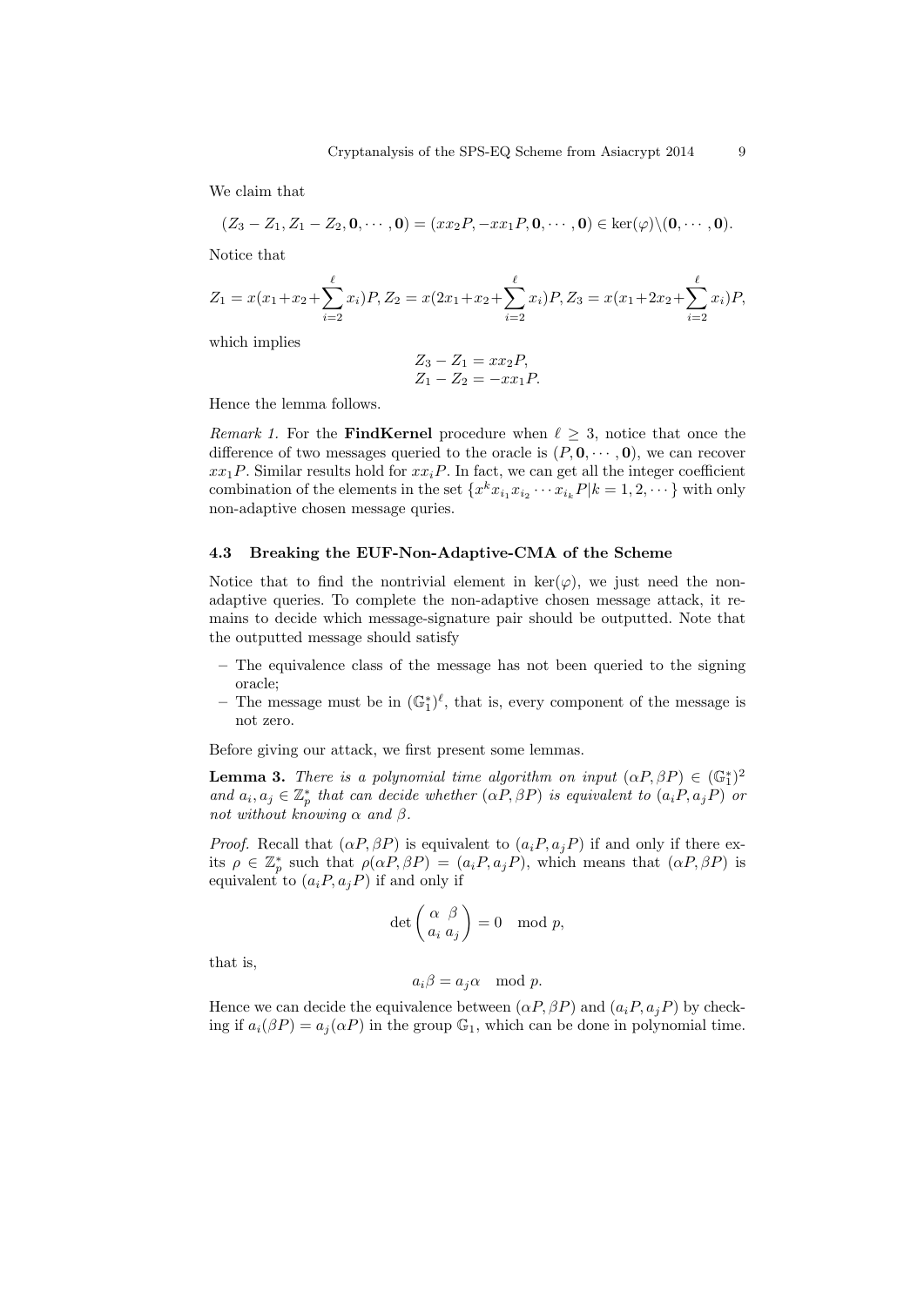We claim that

$$
(Z_3 - Z_1, Z_1 - Z_2, \mathbf{0}, \cdots, \mathbf{0}) = (xx_2P, -xx_1P, \mathbf{0}, \cdots, \mathbf{0}) \in \ker(\varphi) \setminus (\mathbf{0}, \cdots, \mathbf{0}).
$$

Notice that

$$
Z_1 = x(x_1 + x_2 + \sum_{i=2}^{\ell} x_i)P, Z_2 = x(2x_1 + x_2 + \sum_{i=2}^{\ell} x_i)P, Z_3 = x(x_1 + 2x_2 + \sum_{i=2}^{\ell} x_i)P,
$$

which implies

$$
Z_3 - Z_1 = xx_2P,
$$
  

$$
Z_1 - Z_2 = -xx_1P.
$$

Hence the lemma follows.

Remark 1. For the FindKernel procedure when  $\ell \geq 3$ , notice that once the difference of two messages queried to the oracle is  $(P, \mathbf{0}, \cdots, \mathbf{0})$ , we can recover  $xx_1P$ . Similar results hold for  $xx_iP$ . In fact, we can get all the integer coefficient combination of the elements in the set  $\{x^k x_{i_1} x_{i_2} \cdots x_{i_k} P | k = 1, 2, \dots\}$  with only non-adaptive chosen message quries.

## 4.3 Breaking the EUF-Non-Adaptive-CMA of the Scheme

Notice that to find the nontrivial element in  $\text{ker}(\varphi)$ , we just need the nonadaptive queries. To complete the non-adaptive chosen message attack, it remains to decide which message-signature pair should be outputted. Note that the outputted message should satisfy

- The equivalence class of the message has not been queried to the signing oracle;
- The message must be in  $(\mathbb{G}_1^*)^{\ell}$ , that is, every component of the message is not zero.

Before giving our attack, we first present some lemmas.

**Lemma 3.** There is a polynomial time algorithm on input  $(\alpha P, \beta P) \in (\mathbb{G}_1^*)^2$ and  $a_i, a_j \in \mathbb{Z}_p^*$  that can decide whether  $(\alpha P, \beta P)$  is equivalent to  $(a_i P, a_j P)$  or not without knowing  $\alpha$  and  $\beta$ .

*Proof.* Recall that  $(\alpha P, \beta P)$  is equivalent to  $(a_i P, a_i P)$  if and only if there exits  $\rho \in \mathbb{Z}_p^*$  such that  $\rho(\alpha P, \beta P) = (a_i P, a_j P)$ , which means that  $(\alpha P, \beta P)$  is equivalent to  $(a_i P, a_j P)$  if and only if

$$
\det \left( \frac{\alpha}{a_i} \frac{\beta}{a_j} \right) = 0 \mod p,
$$

that is,

$$
a_i\beta = a_j\alpha \mod p.
$$

Hence we can decide the equivalence between  $(\alpha P, \beta P)$  and  $(a_i P, a_j P)$  by checking if  $a_i(\beta P) = a_j(\alpha P)$  in the group  $\mathbb{G}_1$ , which can be done in polynomial time.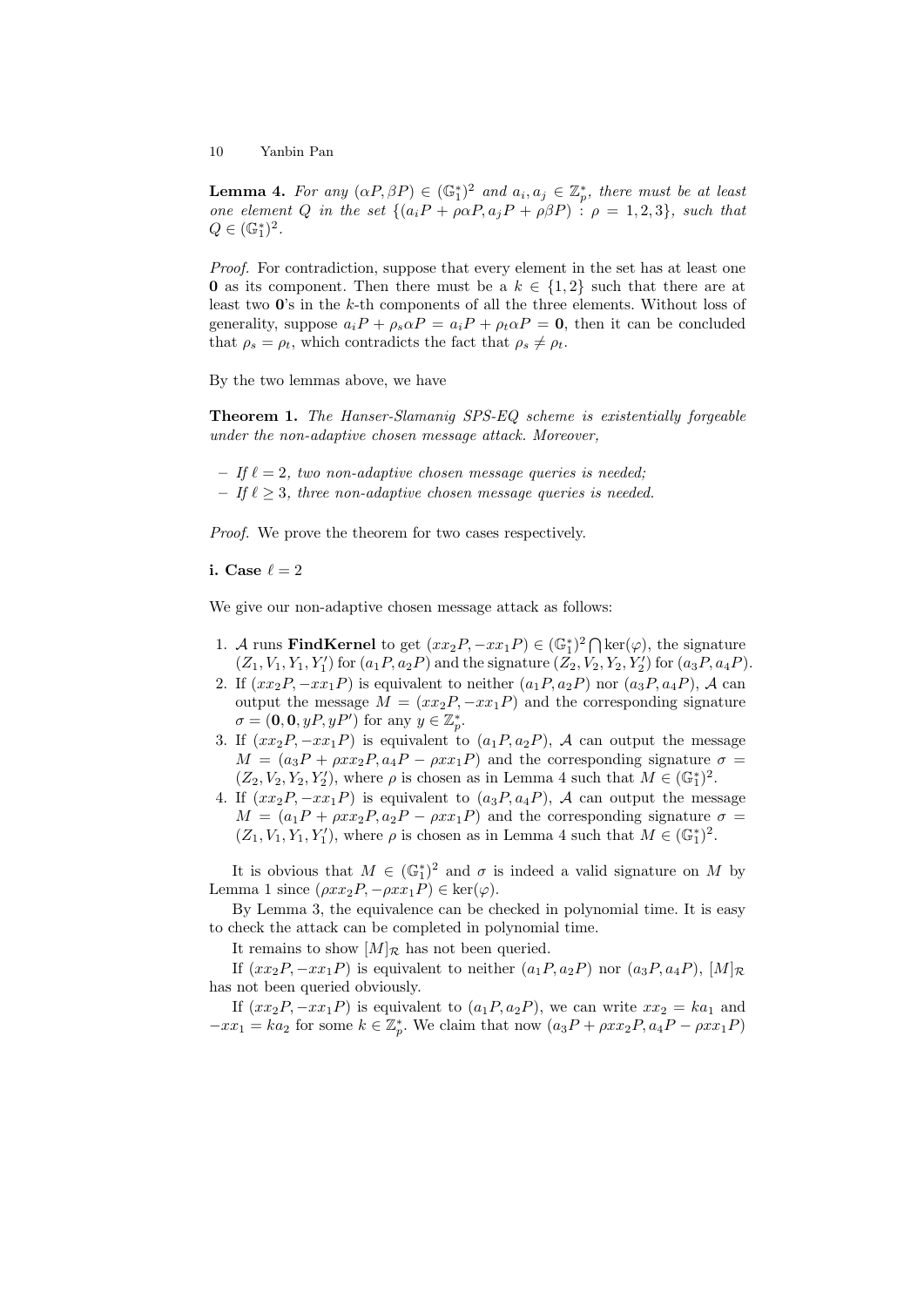**Lemma 4.** For any  $(\alpha P, \beta P) \in (\mathbb{G}_1^*)^2$  and  $a_i, a_j \in \mathbb{Z}_p^*$ , there must be at least one element Q in the set  $\{(a_iP + \rho \alpha P, a_jP + \rho \beta P) : \rho = 1,2,3\}$ , such that  $Q \in (\mathbb{G}_1^*)^2$ .

Proof. For contradiction, suppose that every element in the set has at least one 0 as its component. Then there must be a  $k \in \{1,2\}$  such that there are at least two  $\mathbf{0}$ 's in the k-th components of all the three elements. Without loss of generality, suppose  $a_iP + \rho_s\alpha P = a_iP + \rho_t\alpha P = 0$ , then it can be concluded that  $\rho_s = \rho_t$ , which contradicts the fact that  $\rho_s \neq \rho_t$ .

By the two lemmas above, we have

Theorem 1. The Hanser-Slamanig SPS-EQ scheme is existentially forgeable under the non-adaptive chosen message attack. Moreover,

– If  $\ell = 2$ , two non-adaptive chosen message queries is needed;

– If  $\ell \geq 3$ , three non-adaptive chosen message queries is needed.

Proof. We prove the theorem for two cases respectively.

i. Case  $\ell = 2$ 

We give our non-adaptive chosen message attack as follows:

- 1. A runs **FindKernel** to get  $(xx_2P, -xx_1P) \in (\mathbb{G}_1^*)^2 \cap \text{ker}(\varphi)$ , the signature  $(Z_1, V_1, Y_1, Y'_1)$  for  $(a_1P, a_2P)$  and the signature  $(Z_2, V_2, Y_2, Y'_2)$  for  $(a_3P, a_4P)$ .
- 2. If  $(xx_2P, -xx_1P)$  is equivalent to neither  $(a_1P, a_2P)$  nor  $(a_3P, a_4P)$ , A can output the message  $M = (xx_2P, -xx_1P)$  and the corresponding signature  $\sigma = (\mathbf{0}, \mathbf{0}, yP, yP')$  for any  $y \in \mathbb{Z}_p^*$ .
- 3. If  $(xx_2P, -xx_1P)$  is equivalent to  $(a_1P, a_2P)$ , A can output the message  $M = (a_3P + \rho xx_2P, a_4P - \rho xx_1P)$  and the corresponding signature  $\sigma =$  $(Z_2, V_2, Y_2, Y'_2)$ , where  $\rho$  is chosen as in Lemma 4 such that  $M \in (\mathbb{G}_1^*)^2$ .
- 4. If  $(xx_2P, -xx_1P)$  is equivalent to  $(a_3P, a_4P)$ , A can output the message  $M = (a_1P + \rho xx_2P, a_2P - \rho xx_1P)$  and the corresponding signature  $\sigma =$  $(Z_1, V_1, Y_1, Y'_1)$ , where  $\rho$  is chosen as in Lemma 4 such that  $M \in (\mathbb{G}_1^*)^2$ .

It is obvious that  $M \in (\mathbb{G}_1^*)^2$  and  $\sigma$  is indeed a valid signature on M by Lemma 1 since  $(\rho xx_2P, -\rho xx_1P) \in \text{ker}(\varphi)$ .

By Lemma 3, the equivalence can be checked in polynomial time. It is easy to check the attack can be completed in polynomial time.

It remains to show  $[M]_{\mathcal{R}}$  has not been queried.

If  $(xx_2P, -xx_1P)$  is equivalent to neither  $(a_1P, a_2P)$  nor  $(a_3P, a_4P)$ ,  $[M]_{\mathcal{R}}$ has not been queried obviously.

If  $(xx_2P, -xx_1P)$  is equivalent to  $(a_1P, a_2P)$ , we can write  $xx_2 = ka_1$  and  $-xx_1 = ka_2$  for some  $k \in \mathbb{Z}_p^*$ . We claim that now  $(a_3P + \rho xx_2P, a_4P - \rho xx_1P)$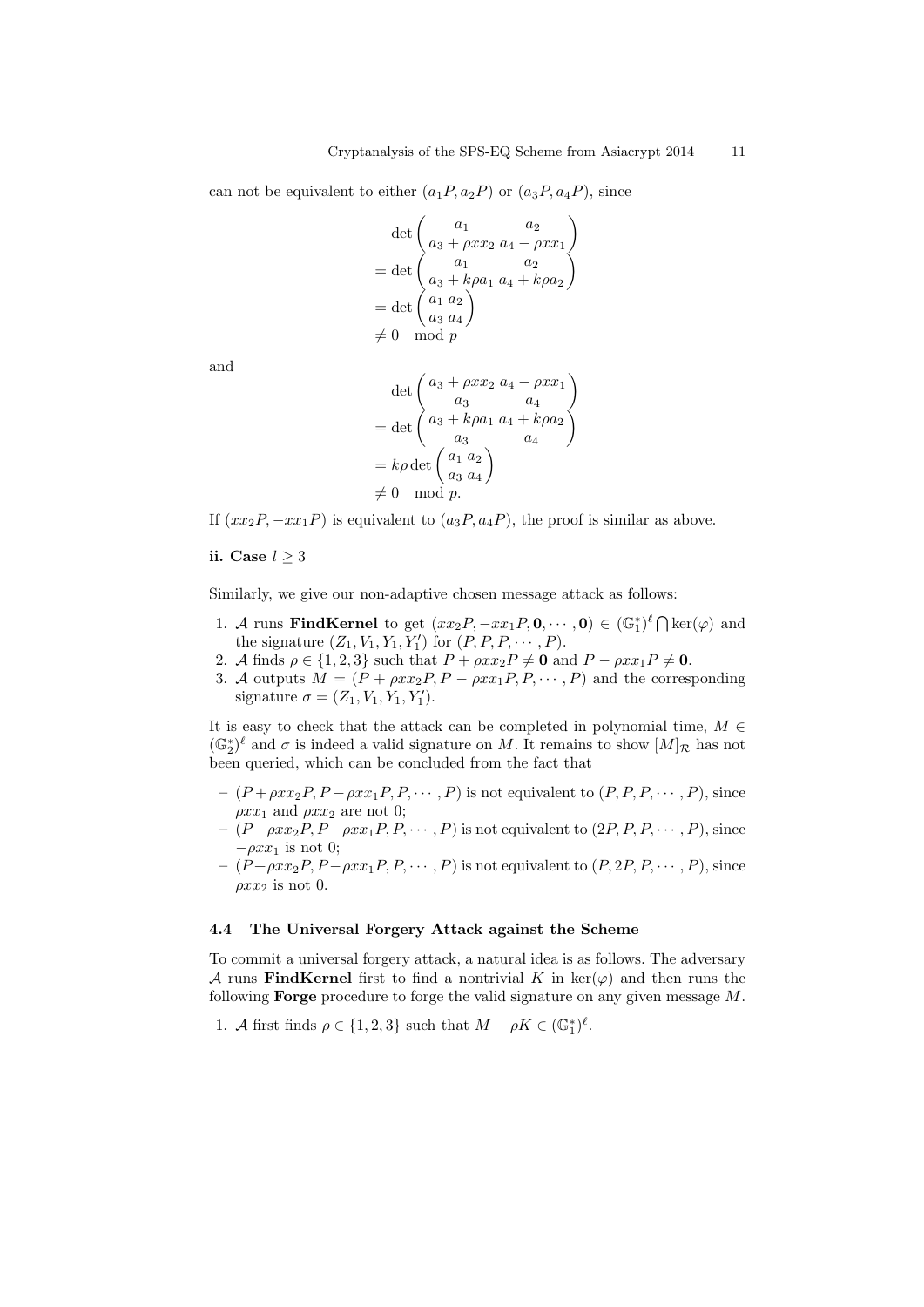can not be equivalent to either  $(a_1P, a_2P)$  or  $(a_3P, a_4P)$ , since

$$
\det \begin{pmatrix} a_1 & a_2 \\ a_3 + \rho x x_2 & a_4 - \rho x x_1 \end{pmatrix}
$$
  
= det  $\begin{pmatrix} a_1 & a_2 \\ a_3 + k \rho a_1 & a_4 + k \rho a_2 \end{pmatrix}$   
= det  $\begin{pmatrix} a_1 & a_2 \\ a_3 & a_4 \end{pmatrix}$   
 $\neq 0 \mod p$ 

and

$$
\det\begin{pmatrix} a_3 + \rho xx_2 & a_4 - \rho xx_1 \\ a_3 & a_4 \\ = \det\begin{pmatrix} a_3 + k\rho a_1 & a_4 + k\rho a_2 \\ a_3 & a_4 \end{pmatrix} \\ = k\rho \det\begin{pmatrix} a_1 & a_2 \\ a_3 & a_4 \end{pmatrix} \\ \neq 0 \mod p.
$$

If  $(xx_2P, -xx_1P)$  is equivalent to  $(a_3P, a_4P)$ , the proof is similar as above.

## ii. Case  $l > 3$

Similarly, we give our non-adaptive chosen message attack as follows:

- 1. A runs **FindKernel** to get  $(xx_2P, -xx_1P, 0, \dots, 0) \in (\mathbb{G}_1^*)^{\ell} \cap \text{ker}(\varphi)$  and the signature  $(Z_1, V_1, Y_1, Y'_1)$  for  $(P, P, P, \dots, P)$ .
- 2. A finds  $\rho \in \{1, 2, 3\}$  such that  $P + \rho xx_2P \neq 0$  and  $P \rho xx_1P \neq 0$ .
- 3. A outputs  $\tilde{M} = (\tilde{P} + \rho x x_2 P, P \rho x x_1 P, P, \cdots, P)$  and the corresponding signature  $\sigma = (Z_1, V_1, Y_1, Y_1').$

It is easy to check that the attack can be completed in polynomial time,  $M \in$  $(\mathbb{G}_2^*)^{\ell}$  and  $\sigma$  is indeed a valid signature on M. It remains to show  $[M]_{\mathcal{R}}$  has not been queried, which can be concluded from the fact that

- $-(P+\rho xx_2P, P-\rho xx_1P, P, \cdots, P)$  is not equivalent to  $(P, P, P, \cdots, P)$ , since  $\rho xx_1$  and  $\rho xx_2$  are not 0;
- $-(P+\rho xx_2P, P-\rho xx_1P, P, \cdots, P)$  is not equivalent to  $(2P, P, P, \cdots, P)$ , since  $-\rho x x_1$  is not 0;
- $-(P+\rho xx_2P, P-\rho xx_1P, P, \cdots, P)$  is not equivalent to  $(P, 2P, P, \cdots, P)$ , since  $\rho xx_2$  is not 0.

## 4.4 The Universal Forgery Attack against the Scheme

To commit a universal forgery attack, a natural idea is as follows. The adversary A runs FindKernel first to find a nontrivial K in  $\text{ker}(\varphi)$  and then runs the following **Forge** procedure to forge the valid signature on any given message  $M$ .

1. A first finds  $\rho \in \{1, 2, 3\}$  such that  $M - \rho K \in (\mathbb{G}_1^*)^{\ell}$ .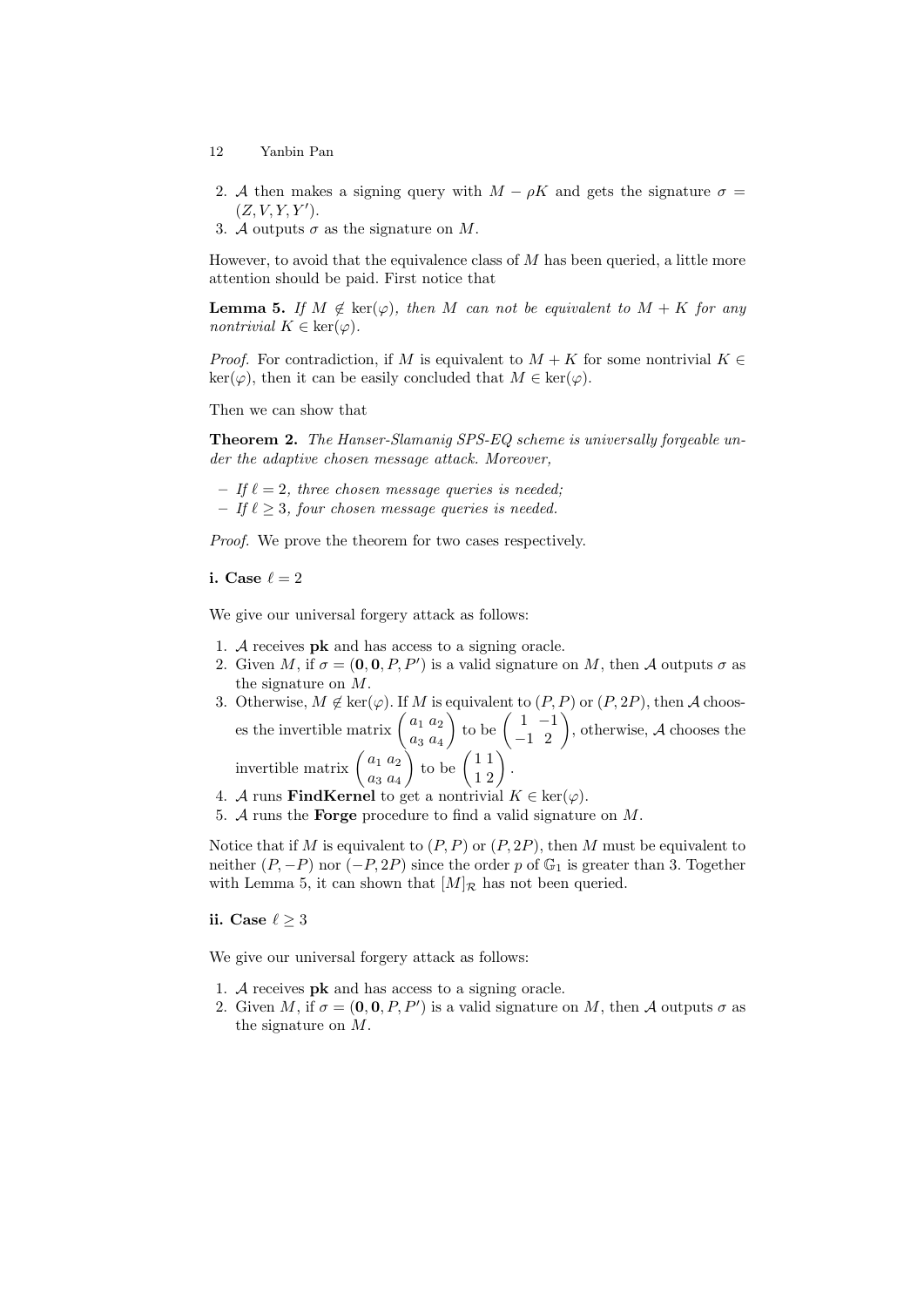- 12 Yanbin Pan
- 2. A then makes a signing query with  $M \rho K$  and gets the signature  $\sigma =$  $(Z, V, Y, Y')$ .
- 3. A outputs  $\sigma$  as the signature on M.

However, to avoid that the equivalence class of  $M$  has been queried, a little more attention should be paid. First notice that

**Lemma 5.** If  $M \notin \text{ker}(\varphi)$ , then M can not be equivalent to  $M + K$  for any nontrivial  $K \in \text{ker}(\varphi)$ .

*Proof.* For contradiction, if M is equivalent to  $M + K$  for some nontrivial  $K \in$  $\ker(\varphi)$ , then it can be easily concluded that  $M \in \ker(\varphi)$ .

Then we can show that

Theorem 2. The Hanser-Slamanig SPS-EQ scheme is universally forgeable under the adaptive chosen message attack. Moreover,

- If  $\ell = 2$ , three chosen message queries is needed;
- If  $\ell \geq 3$ , four chosen message queries is needed.

Proof. We prove the theorem for two cases respectively.

i. Case  $\ell = 2$ 

We give our universal forgery attack as follows:

- 1. A receives pk and has access to a signing oracle.
- 2. Given M, if  $\sigma = (0, 0, P, P')$  is a valid signature on M, then A outputs  $\sigma$  as the signature on M.
- 3. Otherwise,  $M \notin \text{ker}(\varphi)$ . If M is equivalent to  $(P, P)$  or  $(P, 2P)$ , then A chooses the invertible matrix  $\begin{pmatrix} a_1 & a_2 \\ a_1 & a_2 \end{pmatrix}$  $a_3\ a_4$  $\left( \begin{array}{cc} 1 & -1 \\ -1 & 2 \end{array} \right)$ , otherwise, A chooses the invertible matrix  $\begin{pmatrix} a_1 & a_2 \\ a_1 & a_2 \end{pmatrix}$  $a_3\ a_4$  $\Big)$  to be  $\left(\begin{array}{c} 1 & 1 \\ 1 & 2 \end{array}\right)$ .
- 4. A runs **FindKernel** to get a nontrivial  $K \in \text{ker}(\varphi)$ .
- 5. A runs the **Forge** procedure to find a valid signature on  $M$ .

Notice that if M is equivalent to  $(P, P)$  or  $(P, 2P)$ , then M must be equivalent to neither  $(P, -P)$  nor  $(-P, 2P)$  since the order p of  $\mathbb{G}_1$  is greater than 3. Together with Lemma 5, it can shown that  $[M]_{\mathcal{R}}$  has not been queried.

ii. Case  $\ell \geq 3$ 

We give our universal forgery attack as follows:

- 1. A receives pk and has access to a signing oracle.
- 2. Given M, if  $\sigma = (0, 0, P, P')$  is a valid signature on M, then A outputs  $\sigma$  as the signature on M.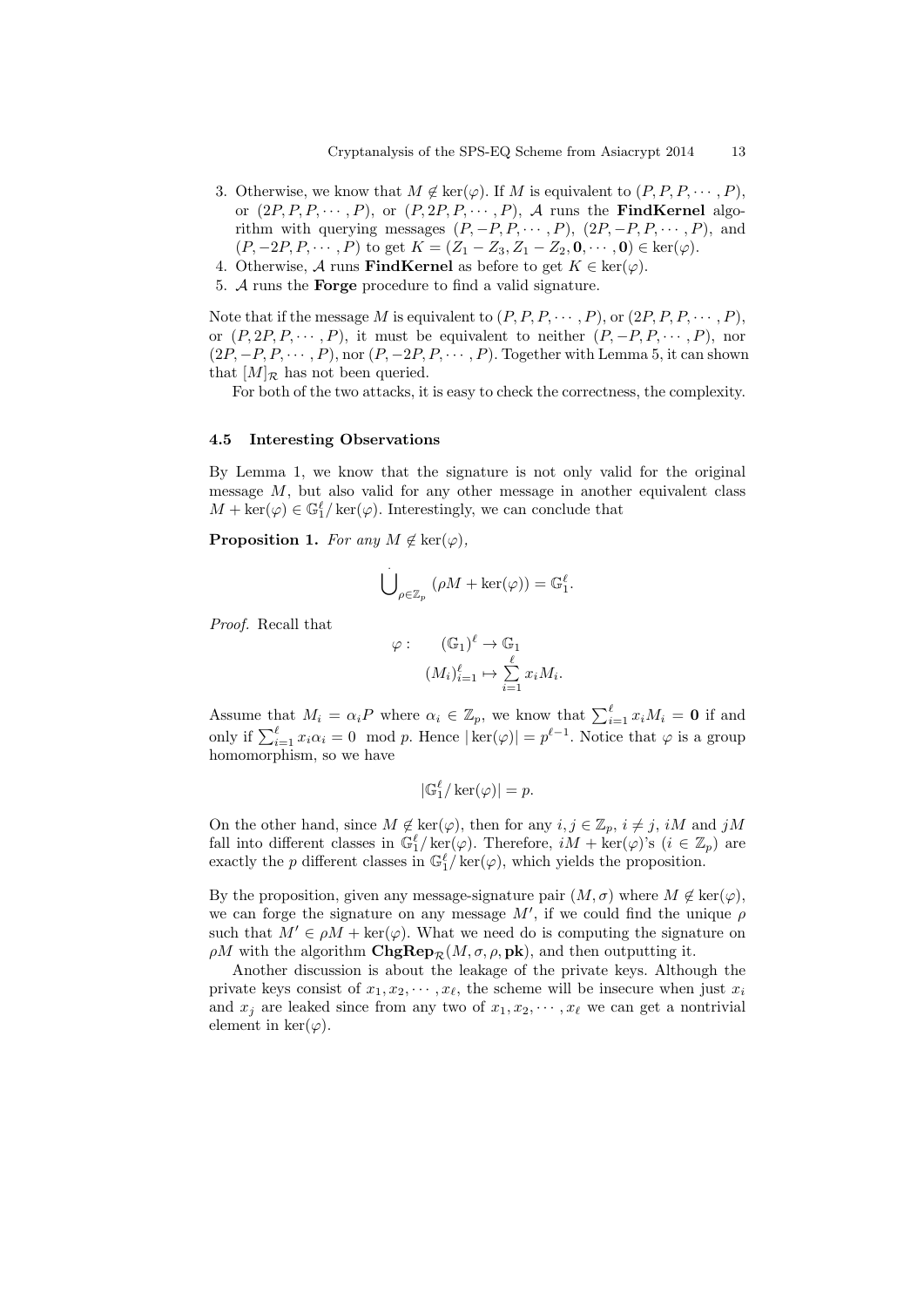- 3. Otherwise, we know that  $M \notin \text{ker}(\varphi)$ . If M is equivalent to  $(P, P, P, \dots, P)$ , or  $(2P, P, P, \cdots, P)$ , or  $(P, 2P, P, \cdots, P)$ , A runs the **FindKernel** algorithm with querying messages  $(P, -P, P, \cdots, P)$ ,  $(2P, -P, P, \cdots, P)$ , and  $(P, -2P, P, \cdots, P)$  to get  $K = (Z_1 - Z_3, Z_1 - Z_2, \mathbf{0}, \cdots, \mathbf{0}) \in \text{ker}(\varphi)$ .
- 4. Otherwise, A runs **FindKernel** as before to get  $K \in \text{ker}(\varphi)$ .
- 5. A runs the Forge procedure to find a valid signature.

Note that if the message M is equivalent to  $(P, P, P, \dots, P)$ , or  $(2P, P, P, \dots, P)$ , or  $(P, 2P, P, \cdots, P)$ , it must be equivalent to neither  $(P, -P, P, \cdots, P)$ , nor  $(2P, -P, P, \cdots, P),$  nor  $(P, -2P, P, \cdots, P)$ . Together with Lemma 5, it can shown that  $[M]_{\mathcal{R}}$  has not been queried.

For both of the two attacks, it is easy to check the correctness, the complexity.

#### 4.5 Interesting Observations

By Lemma 1, we know that the signature is not only valid for the original message  $M$ , but also valid for any other message in another equivalent class  $M + \ker(\varphi) \in \mathbb{G}_1^{\ell}/\ker(\varphi)$ . Interestingly, we can conclude that

**Proposition 1.** For any  $M \notin \text{ker}(\varphi)$ .

$$
\dot{\bigcup}_{\rho \in \mathbb{Z}_p} (\rho M + \ker(\varphi)) = \mathbb{G}_1^{\ell}.
$$

Proof. Recall that

$$
\varphi: \qquad (\mathbb{G}_1)^{\ell} \to \mathbb{G}_1
$$

$$
(M_i)_{i=1}^{\ell} \mapsto \sum_{i=1}^{\ell} x_i M_i.
$$

Assume that  $M_i = \alpha_i P$  where  $\alpha_i \in \mathbb{Z}_p$ , we know that  $\sum_{i=1}^{\ell} x_i M_i = \mathbf{0}$  if and only if  $\sum_{i=1}^{\ell} x_i \alpha_i = 0 \mod p$ . Hence  $|\ker(\varphi)| = p^{\ell-1}$ . Notice that  $\varphi$  is a group homomorphism, so we have

$$
|\mathbb{G}_1^{\ell}/\ker(\varphi)| = p.
$$

On the other hand, since  $M \notin \text{ker}(\varphi)$ , then for any  $i, j \in \mathbb{Z}_p$ ,  $i \neq j$ , iM and jM fall into different classes in  $\mathbb{G}_1^{\ell}/\ker(\varphi)$ . Therefore,  $iM + \ker(\varphi)$ 's  $(i \in \mathbb{Z}_p)$  are exactly the p different classes in  $\mathbb{G}_1^{\ell}/\ker(\varphi)$ , which yields the proposition.

By the proposition, given any message-signature pair  $(M, \sigma)$  where  $M \notin \text{ker}(\varphi)$ , we can forge the signature on any message  $M'$ , if we could find the unique  $\rho$ such that  $M' \in \rho M + \text{ker}(\varphi)$ . What we need do is computing the signature on  $\rho M$  with the algorithm  $\mathbf{ChgRep}_{\mathcal{R}}(M, \sigma, \rho, \mathbf{pk})$ , and then outputting it.

Another discussion is about the leakage of the private keys. Although the private keys consist of  $x_1, x_2, \dots, x_\ell$ , the scheme will be insecure when just  $x_i$ and  $x_j$  are leaked since from any two of  $x_1, x_2, \dots, x_\ell$  we can get a nontrivial element in ker $(\varphi)$ .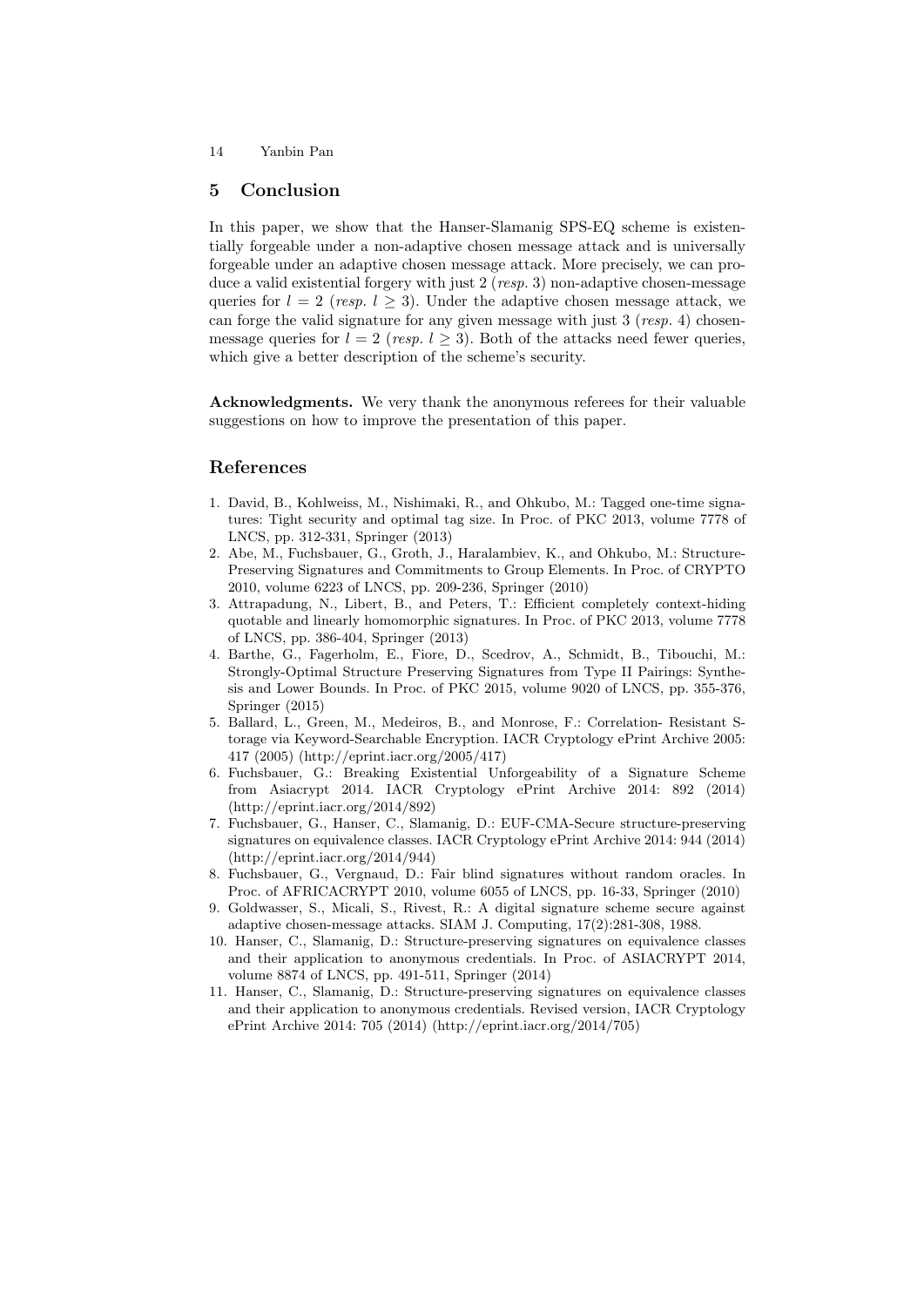#### 5 Conclusion

In this paper, we show that the Hanser-Slamanig SPS-EQ scheme is existentially forgeable under a non-adaptive chosen message attack and is universally forgeable under an adaptive chosen message attack. More precisely, we can produce a valid existential forgery with just  $2 (resp. 3)$  non-adaptive chosen-message queries for  $l = 2$  (resp.  $l \geq 3$ ). Under the adaptive chosen message attack, we can forge the valid signature for any given message with just  $3 (resp. 4)$  chosenmessage queries for  $l = 2$  (resp.  $l > 3$ ). Both of the attacks need fewer queries, which give a better description of the scheme's security.

Acknowledgments. We very thank the anonymous referees for their valuable suggestions on how to improve the presentation of this paper.

# References

- 1. David, B., Kohlweiss, M., Nishimaki, R., and Ohkubo, M.: Tagged one-time signatures: Tight security and optimal tag size. In Proc. of PKC 2013, volume 7778 of LNCS, pp. 312-331, Springer (2013)
- 2. Abe, M., Fuchsbauer, G., Groth, J., Haralambiev, K., and Ohkubo, M.: Structure-Preserving Signatures and Commitments to Group Elements. In Proc. of CRYPTO 2010, volume 6223 of LNCS, pp. 209-236, Springer (2010)
- 3. Attrapadung, N., Libert, B., and Peters, T.: Efficient completely context-hiding quotable and linearly homomorphic signatures. In Proc. of PKC 2013, volume 7778 of LNCS, pp. 386-404, Springer (2013)
- 4. Barthe, G., Fagerholm, E., Fiore, D., Scedrov, A., Schmidt, B., Tibouchi, M.: Strongly-Optimal Structure Preserving Signatures from Type II Pairings: Synthesis and Lower Bounds. In Proc. of PKC 2015, volume 9020 of LNCS, pp. 355-376, Springer (2015)
- 5. Ballard, L., Green, M., Medeiros, B., and Monrose, F.: Correlation- Resistant Storage via Keyword-Searchable Encryption. IACR Cryptology ePrint Archive 2005: 417 (2005) (http://eprint.iacr.org/2005/417)
- 6. Fuchsbauer, G.: Breaking Existential Unforgeability of a Signature Scheme from Asiacrypt 2014. IACR Cryptology ePrint Archive 2014: 892 (2014) (http://eprint.iacr.org/2014/892)
- 7. Fuchsbauer, G., Hanser, C., Slamanig, D.: EUF-CMA-Secure structure-preserving signatures on equivalence classes. IACR Cryptology ePrint Archive 2014: 944 (2014) (http://eprint.iacr.org/2014/944)
- 8. Fuchsbauer, G., Vergnaud, D.: Fair blind signatures without random oracles. In Proc. of AFRICACRYPT 2010, volume 6055 of LNCS, pp. 16-33, Springer (2010)
- 9. Goldwasser, S., Micali, S., Rivest, R.: A digital signature scheme secure against adaptive chosen-message attacks. SIAM J. Computing, 17(2):281-308, 1988.
- 10. Hanser, C., Slamanig, D.: Structure-preserving signatures on equivalence classes and their application to anonymous credentials. In Proc. of ASIACRYPT 2014, volume 8874 of LNCS, pp. 491-511, Springer (2014)
- 11. Hanser, C., Slamanig, D.: Structure-preserving signatures on equivalence classes and their application to anonymous credentials. Revised version, IACR Cryptology ePrint Archive 2014: 705 (2014) (http://eprint.iacr.org/2014/705)